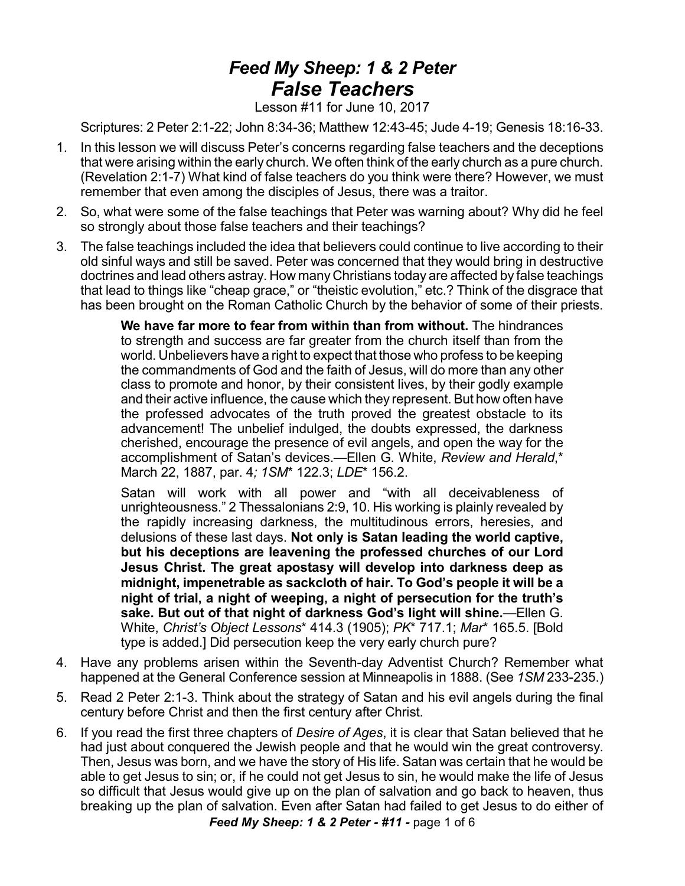## *Feed My Sheep: 1 & 2 Peter False Teachers*

Lesson #11 for June 10, 2017

Scriptures: 2 Peter 2:1-22; John 8:34-36; Matthew 12:43-45; Jude 4-19; Genesis 18:16-33.

- 1. In this lesson we will discuss Peter's concerns regarding false teachers and the deceptions that were arising within the early church. We often think of the early church as a pure church. (Revelation 2:1-7) What kind of false teachers do you think were there? However, we must remember that even among the disciples of Jesus, there was a traitor.
- 2. So, what were some of the false teachings that Peter was warning about? Why did he feel so strongly about those false teachers and their teachings?
- 3. The false teachings included the idea that believers could continue to live according to their old sinful ways and still be saved. Peter was concerned that they would bring in destructive doctrines and lead others astray. How many Christians today are affected by false teachings that lead to things like "cheap grace," or "theistic evolution," etc.? Think of the disgrace that has been brought on the Roman Catholic Church by the behavior of some of their priests.

**We have far more to fear from within than from without.** The hindrances to strength and success are far greater from the church itself than from the world. Unbelievers have a right to expect that those who profess to be keeping the commandments of God and the faith of Jesus, will do more than any other class to promote and honor, by their consistent lives, by their godly example and their active influence, the cause which they represent. But how often have the professed advocates of the truth proved the greatest obstacle to its advancement! The unbelief indulged, the doubts expressed, the darkness cherished, encourage the presence of evil angels, and open the way for the accomplishment of Satan's devices.—Ellen G. White, *Review and Herald*,\* March 22, 1887, par. 4*; 1SM*\* 122.3; *LDE*\* 156.2.

Satan will work with all power and "with all deceivableness of unrighteousness." 2 Thessalonians 2:9, 10. His working is plainly revealed by the rapidly increasing darkness, the multitudinous errors, heresies, and delusions of these last days. **Not only is Satan leading the world captive, but his deceptions are leavening the professed churches of our Lord Jesus Christ. The great apostasy will develop into darkness deep as midnight, impenetrable as sackcloth of hair. To God's people it will be a night of trial, a night of weeping, a night of persecution for the truth's sake. But out of that night of darkness God's light will shine.**—Ellen G. White, *Christ's Object Lessons*\* 414.3 (1905); *PK*\* 717.1; *Mar*\* 165.5. [Bold type is added.] Did persecution keep the very early church pure?

- 4. Have any problems arisen within the Seventh-day Adventist Church? Remember what happened at the General Conference session at Minneapolis in 1888. (See *1SM* 233-235.)
- 5. Read 2 Peter 2:1-3. Think about the strategy of Satan and his evil angels during the final century before Christ and then the first century after Christ.
- 6. If you read the first three chapters of *Desire of Ages*, it is clear that Satan believed that he had just about conquered the Jewish people and that he would win the great controversy. Then, Jesus was born, and we have the story of His life. Satan was certain that he would be able to get Jesus to sin; or, if he could not get Jesus to sin, he would make the life of Jesus so difficult that Jesus would give up on the plan of salvation and go back to heaven, thus breaking up the plan of salvation. Even after Satan had failed to get Jesus to do either of

*Feed My Sheep: 1 & 2 Peter - #11 -* page 1 of 6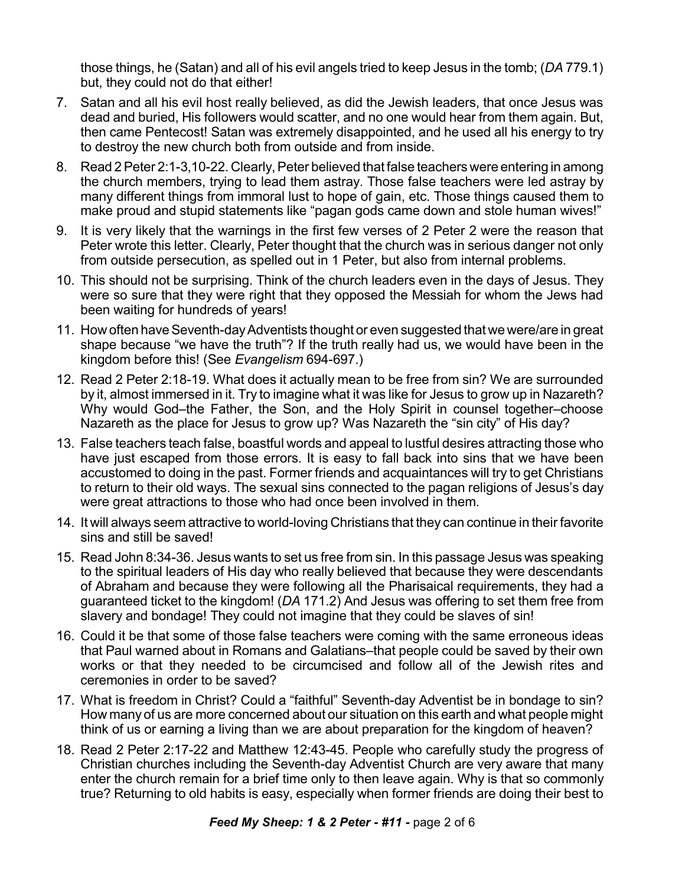those things, he (Satan) and all of his evil angels tried to keep Jesus in the tomb; (*DA* 779.1) but, they could not do that either!

- 7. Satan and all his evil host really believed, as did the Jewish leaders, that once Jesus was dead and buried, His followers would scatter, and no one would hear from them again. But, then came Pentecost! Satan was extremely disappointed, and he used all his energy to try to destroy the new church both from outside and from inside.
- 8. Read 2 Peter 2:1-3,10-22. Clearly, Peter believed that false teachers were entering in among the church members, trying to lead them astray. Those false teachers were led astray by many different things from immoral lust to hope of gain, etc. Those things caused them to make proud and stupid statements like "pagan gods came down and stole human wives!"
- 9. It is very likely that the warnings in the first few verses of 2 Peter 2 were the reason that Peter wrote this letter. Clearly, Peter thought that the church was in serious danger not only from outside persecution, as spelled out in 1 Peter, but also from internal problems.
- 10. This should not be surprising. Think of the church leaders even in the days of Jesus. They were so sure that they were right that they opposed the Messiah for whom the Jews had been waiting for hundreds of years!
- 11. How often have Seventh-day Adventists thought or even suggested that we were/are in great shape because "we have the truth"? If the truth really had us, we would have been in the kingdom before this! (See *Evangelism* 694-697.)
- 12. Read 2 Peter 2:18-19. What does it actually mean to be free from sin? We are surrounded by it, almost immersed in it. Try to imagine what it was like for Jesus to grow up in Nazareth? Why would God–the Father, the Son, and the Holy Spirit in counsel together–choose Nazareth as the place for Jesus to grow up? Was Nazareth the "sin city" of His day?
- 13. False teachers teach false, boastful words and appeal to lustful desires attracting those who have just escaped from those errors. It is easy to fall back into sins that we have been accustomed to doing in the past. Former friends and acquaintances will try to get Christians to return to their old ways. The sexual sins connected to the pagan religions of Jesus's day were great attractions to those who had once been involved in them.
- 14. It will always seem attractive to world-loving Christians that they can continue in their favorite sins and still be saved!
- 15. Read John 8:34-36. Jesus wants to set us free from sin. In this passage Jesus was speaking to the spiritual leaders of His day who really believed that because they were descendants of Abraham and because they were following all the Pharisaical requirements, they had a guaranteed ticket to the kingdom! (*DA* 171.2) And Jesus was offering to set them free from slavery and bondage! They could not imagine that they could be slaves of sin!
- 16. Could it be that some of those false teachers were coming with the same erroneous ideas that Paul warned about in Romans and Galatians–that people could be saved by their own works or that they needed to be circumcised and follow all of the Jewish rites and ceremonies in order to be saved?
- 17. What is freedom in Christ? Could a "faithful" Seventh-day Adventist be in bondage to sin? How many of us are more concerned about our situation on this earth and what people might think of us or earning a living than we are about preparation for the kingdom of heaven?
- 18. Read 2 Peter 2:17-22 and Matthew 12:43-45. People who carefully study the progress of Christian churches including the Seventh-day Adventist Church are very aware that many enter the church remain for a brief time only to then leave again. Why is that so commonly true? Returning to old habits is easy, especially when former friends are doing their best to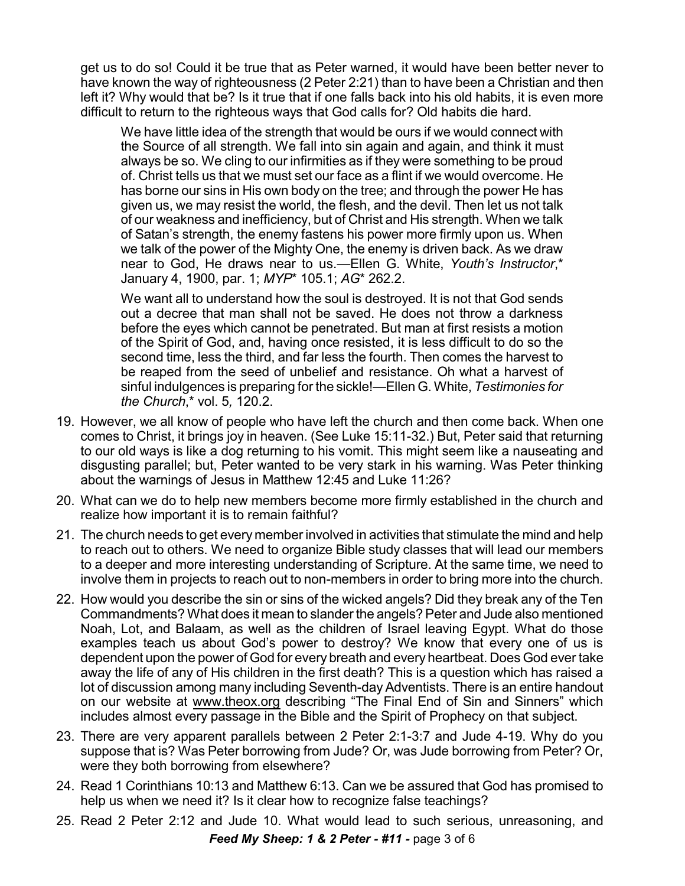get us to do so! Could it be true that as Peter warned, it would have been better never to have known the way of righteousness (2 Peter 2:21) than to have been a Christian and then left it? Why would that be? Is it true that if one falls back into his old habits, it is even more difficult to return to the righteous ways that God calls for? Old habits die hard.

We have little idea of the strength that would be ours if we would connect with the Source of all strength. We fall into sin again and again, and think it must always be so. We cling to our infirmities as if they were something to be proud of. Christ tells us that we must set our face as a flint if we would overcome. He has borne our sins in His own body on the tree; and through the power He has given us, we may resist the world, the flesh, and the devil. Then let us not talk of our weakness and inefficiency, but of Christ and His strength. When we talk of Satan's strength, the enemy fastens his power more firmly upon us. When we talk of the power of the Mighty One, the enemy is driven back. As we draw near to God, He draws near to us.—Ellen G. White, *Youth's Instructor*,\* January 4, 1900, par. 1; *MYP*\* 105.1; *AG*\* 262.2.

We want all to understand how the soul is destroyed. It is not that God sends out a decree that man shall not be saved. He does not throw a darkness before the eyes which cannot be penetrated. But man at first resists a motion of the Spirit of God, and, having once resisted, it is less difficult to do so the second time, less the third, and far less the fourth. Then comes the harvest to be reaped from the seed of unbelief and resistance. Oh what a harvest of sinful indulgences is preparing for the sickle!—Ellen G. White, *Testimonies for the Church*,\* vol. 5*,* 120.2.

- 19. However, we all know of people who have left the church and then come back. When one comes to Christ, it brings joy in heaven. (See Luke 15:11-32.) But, Peter said that returning to our old ways is like a dog returning to his vomit. This might seem like a nauseating and disgusting parallel; but, Peter wanted to be very stark in his warning. Was Peter thinking about the warnings of Jesus in Matthew 12:45 and Luke 11:26?
- 20. What can we do to help new members become more firmly established in the church and realize how important it is to remain faithful?
- 21. The church needs to get every member involved in activities that stimulate the mind and help to reach out to others. We need to organize Bible study classes that will lead our members to a deeper and more interesting understanding of Scripture. At the same time, we need to involve them in projects to reach out to non-members in order to bring more into the church.
- 22. How would you describe the sin or sins of the wicked angels? Did they break any of the Ten Commandments? What does it mean to slander the angels?Peter and Jude also mentioned Noah, Lot, and Balaam, as well as the children of Israel leaving Egypt. What do those examples teach us about God's power to destroy? We know that every one of us is dependent upon the power of God for every breath and every heartbeat. Does God ever take away the life of any of His children in the first death? This is a question which has raised a lot of discussion among many including Seventh-day Adventists. There is an entire handout on our website at [www.theox.org](http://www.theox.org) describing "The Final End of Sin and Sinners" which includes almost every passage in the Bible and the Spirit of Prophecy on that subject.
- 23. There are very apparent parallels between 2 Peter 2:1-3:7 and Jude 4-19. Why do you suppose that is? Was Peter borrowing from Jude? Or, was Jude borrowing from Peter? Or, were they both borrowing from elsewhere?
- 24. Read 1 Corinthians 10:13 and Matthew 6:13. Can we be assured that God has promised to help us when we need it? Is it clear how to recognize false teachings?
- 25. Read 2 Peter 2:12 and Jude 10. What would lead to such serious, unreasoning, and *Feed My Sheep: 1 & 2 Peter - #11 -* page 3 of 6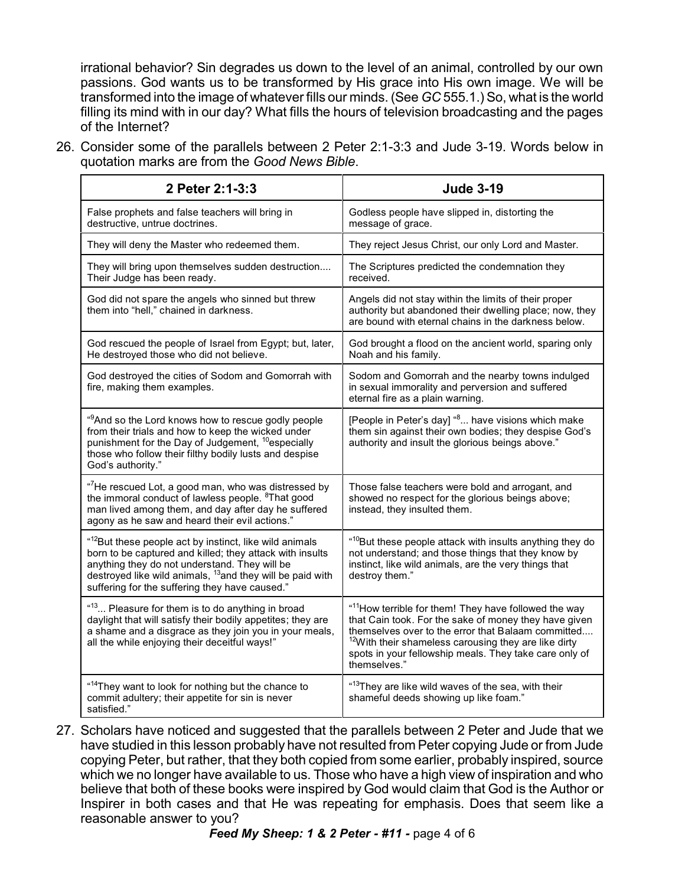irrational behavior? Sin degrades us down to the level of an animal, controlled by our own passions. God wants us to be transformed by His grace into His own image. We will be transformed into the image of whatever fills our minds. (See *GC* 555.1.) So, what is the world filling its mind with in our day? What fills the hours of television broadcasting and the pages of the Internet?

26. Consider some of the parallels between 2 Peter 2:1-3:3 and Jude 3-19. Words below in quotation marks are from the *Good News Bible*.

| 2 Peter 2:1-3:3                                                                                                                                                                                                                                                                                             | <b>Jude 3-19</b>                                                                                                                                                                                                                                                                                                               |
|-------------------------------------------------------------------------------------------------------------------------------------------------------------------------------------------------------------------------------------------------------------------------------------------------------------|--------------------------------------------------------------------------------------------------------------------------------------------------------------------------------------------------------------------------------------------------------------------------------------------------------------------------------|
| False prophets and false teachers will bring in<br>destructive, untrue doctrines.                                                                                                                                                                                                                           | Godless people have slipped in, distorting the<br>message of grace.                                                                                                                                                                                                                                                            |
| They will deny the Master who redeemed them.                                                                                                                                                                                                                                                                | They reject Jesus Christ, our only Lord and Master.                                                                                                                                                                                                                                                                            |
| They will bring upon themselves sudden destruction<br>Their Judge has been ready.                                                                                                                                                                                                                           | The Scriptures predicted the condemnation they<br>received.                                                                                                                                                                                                                                                                    |
| God did not spare the angels who sinned but threw<br>them into "hell," chained in darkness.                                                                                                                                                                                                                 | Angels did not stay within the limits of their proper<br>authority but abandoned their dwelling place; now, they<br>are bound with eternal chains in the darkness below.                                                                                                                                                       |
| God rescued the people of Israel from Egypt; but, later,<br>He destroyed those who did not believe.                                                                                                                                                                                                         | God brought a flood on the ancient world, sparing only<br>Noah and his family.                                                                                                                                                                                                                                                 |
| God destroyed the cities of Sodom and Gomorrah with<br>fire, making them examples.                                                                                                                                                                                                                          | Sodom and Gomorrah and the nearby towns indulged<br>in sexual immorality and perversion and suffered<br>eternal fire as a plain warning.                                                                                                                                                                                       |
| " <sup>9</sup> And so the Lord knows how to rescue godly people<br>from their trials and how to keep the wicked under<br>punishment for the Day of Judgement, <sup>10</sup> especially<br>those who follow their filthy bodily lusts and despise<br>God's authority."                                       | [People in Peter's day] " <sup>8</sup> have visions which make<br>them sin against their own bodies; they despise God's<br>authority and insult the glorious beings above."                                                                                                                                                    |
| " <sup>7</sup> He rescued Lot, a good man, who was distressed by<br>the immoral conduct of lawless people. <sup>8</sup> That good<br>man lived among them, and day after day he suffered<br>agony as he saw and heard their evil actions."                                                                  | Those false teachers were bold and arrogant, and<br>showed no respect for the glorious beings above;<br>instead, they insulted them.                                                                                                                                                                                           |
| " <sup>12</sup> But these people act by instinct, like wild animals<br>born to be captured and killed; they attack with insults<br>anything they do not understand. They will be<br>destroyed like wild animals, <sup>13</sup> and they will be paid with<br>suffering for the suffering they have caused." | " <sup>10</sup> But these people attack with insults anything they do<br>not understand; and those things that they know by<br>instinct, like wild animals, are the very things that<br>destroy them."                                                                                                                         |
| " <sup>13</sup> Pleasure for them is to do anything in broad<br>daylight that will satisfy their bodily appetites; they are<br>a shame and a disgrace as they join you in your meals,<br>all the while enjoying their deceitful ways!"                                                                      | " <sup>11</sup> How terrible for them! They have followed the way<br>that Cain took. For the sake of money they have given<br>themselves over to the error that Balaam committed<br><sup>12</sup> With their shameless carousing they are like dirty<br>spots in your fellowship meals. They take care only of<br>themselves." |
| " <sup>14</sup> They want to look for nothing but the chance to<br>commit adultery; their appetite for sin is never<br>satisfied."                                                                                                                                                                          | " <sup>13</sup> They are like wild waves of the sea, with their<br>shameful deeds showing up like foam."                                                                                                                                                                                                                       |

27. Scholars have noticed and suggested that the parallels between 2 Peter and Jude that we have studied in this lesson probably have not resulted from Peter copying Jude or from Jude copying Peter, but rather, that they both copied from some earlier, probably inspired, source which we no longer have available to us. Those who have a high view of inspiration and who believe that both of these books were inspired by God would claim that God is the Author or Inspirer in both cases and that He was repeating for emphasis. Does that seem like a reasonable answer to you?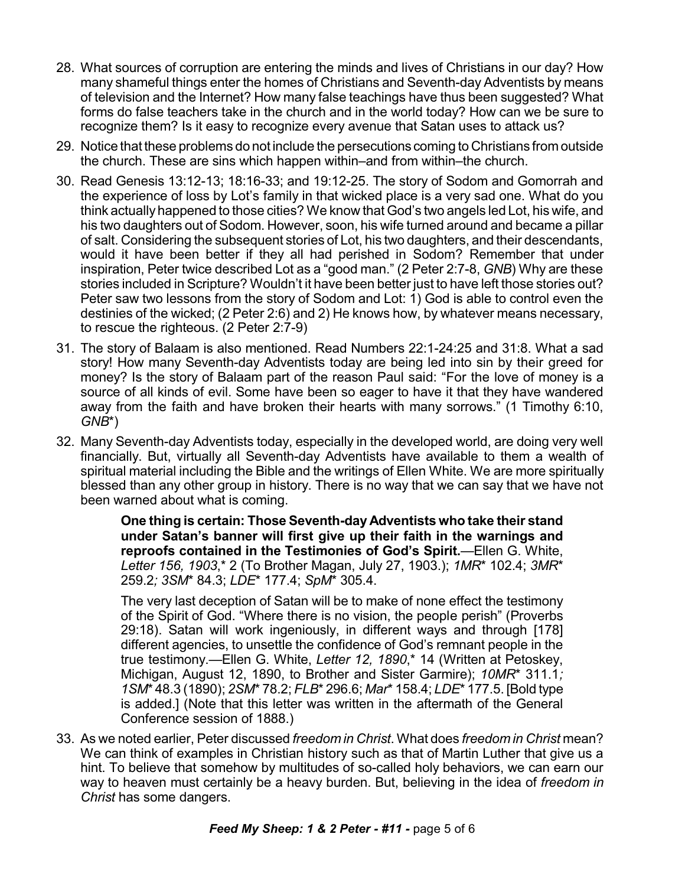- 28. What sources of corruption are entering the minds and lives of Christians in our day? How many shameful things enter the homes of Christians and Seventh-day Adventists by means of television and the Internet? How many false teachings have thus been suggested? What forms do false teachers take in the church and in the world today? How can we be sure to recognize them? Is it easy to recognize every avenue that Satan uses to attack us?
- 29. Notice that these problems do not include the persecutions coming to Christians from outside the church. These are sins which happen within–and from within–the church.
- 30. Read Genesis 13:12-13; 18:16-33; and 19:12-25. The story of Sodom and Gomorrah and the experience of loss by Lot's family in that wicked place is a very sad one. What do you think actuallyhappened to those cities? We know that God's two angels led Lot, his wife, and his two daughters out of Sodom. However, soon, his wife turned around and became a pillar of salt. Considering the subsequent stories of Lot, his two daughters, and their descendants, would it have been better if they all had perished in Sodom? Remember that under inspiration, Peter twice described Lot as a "good man." (2 Peter 2:7-8, *GNB*) Why are these stories included in Scripture? Wouldn't it have been better just to have left those stories out? Peter saw two lessons from the story of Sodom and Lot: 1) God is able to control even the destinies of the wicked; (2 Peter 2:6) and 2) He knows how, by whatever means necessary, to rescue the righteous. (2 Peter 2:7-9)
- 31. The story of Balaam is also mentioned. Read Numbers 22:1-24:25 and 31:8. What a sad story! How many Seventh-day Adventists today are being led into sin by their greed for money? Is the story of Balaam part of the reason Paul said: "For the love of money is a source of all kinds of evil. Some have been so eager to have it that they have wandered away from the faith and have broken their hearts with many sorrows." (1 Timothy 6:10, *GNB*\*)
- 32. Many Seventh-day Adventists today, especially in the developed world, are doing very well financially. But, virtually all Seventh-day Adventists have available to them a wealth of spiritual material including the Bible and the writings of Ellen White. We are more spiritually blessed than any other group in history. There is no way that we can say that we have not been warned about what is coming.

**One thing is certain: Those Seventh-day Adventists who take their stand under Satan's banner will first give up their faith in the warnings and reproofs contained in the Testimonies of God's Spirit.**—Ellen G. White, *Letter 156, 1903*,\* 2 (To Brother Magan, July 27, 1903.); *1MR*\* 102.4; *3MR*\* 259.2*; 3SM*\* 84.3; *LDE*\* 177.4; *SpM*\* 305.4.

The very last deception of Satan will be to make of none effect the testimony of the Spirit of God. "Where there is no vision, the people perish" (Proverbs 29:18). Satan will work ingeniously, in different ways and through [178] different agencies, to unsettle the confidence of God's remnant people in the true testimony.—Ellen G. White, *Letter 12, 1890*,\* 14 (Written at Petoskey, Michigan, August 12, 1890, to Brother and Sister Garmire); *10MR*\* 311.1*; 1SM*\* 48.3 (1890); *2SM*\* 78.2; *FLB*\* 296.6; *Mar*\* 158.4; *LDE*\* 177.5. [Bold type is added.] (Note that this letter was written in the aftermath of the General Conference session of 1888.)

33. As we noted earlier, Peter discussed *freedom in Christ*. What does *freedom in Christ* mean? We can think of examples in Christian history such as that of Martin Luther that give us a hint. To believe that somehow by multitudes of so-called holy behaviors, we can earn our way to heaven must certainly be a heavy burden. But, believing in the idea of *freedom in Christ* has some dangers.